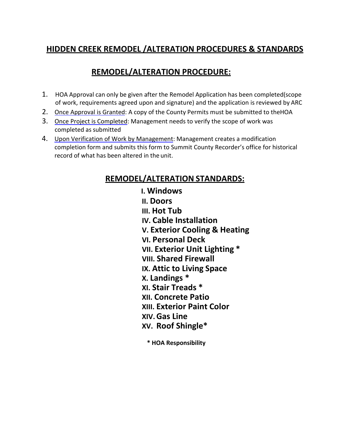# **HIDDEN CREEK REMODEL /ALTERATION PROCEDURES & STANDARDS**

# **REMODEL/ALTERATION PROCEDURE:**

- 1. HOA Approval can only be given after the Remodel Application has been completed(scope of work, requirements agreed upon and signature) and the application is reviewed by ARC
- 2. Once Approval is Granted: A copy of the County Permits must be submitted to theHOA
- 3. Once Project is Completed: Management needs to verify the scope of work was completed as submitted
- 4. Upon Verification of Work by Management: Management creates a modification completion form and submits this form to Summit County Recorder's office for historical record of what has been altered in the unit.

# **REMODEL/ALTERATION STANDARDS:**

**I. Windows II. Doors III. Hot Tub IV. Cable Installation V. Exterior Cooling & Heating VI. Personal Deck VII. Exterior Unit Lighting \* VIII. Shared Firewall IX. Attic to Living Space X. Landings \* XI. Stair Treads \* XII. Concrete Patio XIII. Exterior Paint Color XIV.Gas Line XV. Roof Shingle\***

**\* HOA Responsibility**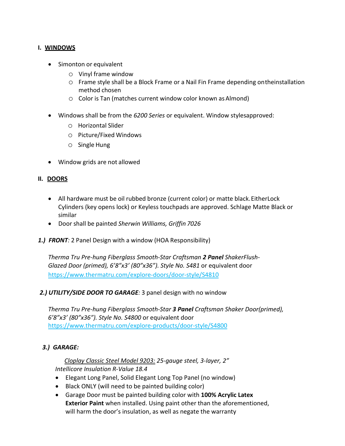#### **I. WINDOWS**

- Simonton or equivalent
	- o Vinyl frame window
	- o Frame style shall be a Block Frame or a Nail Fin Frame depending ontheinstallation method chosen
	- o Color is Tan (matches current window color known asAlmond)
- Windows shall be from the *6200 Series* or equivalent. Window stylesapproved:
	- o Horizontal Slider
	- o Picture/Fixed Windows
	- o Single Hung
- Window grids are not allowed

#### **II. DOORS**

- All hardware must be oil rubbed bronze (current color) or matte black.EitherLock Cylinders (key opens lock) or Keyless touchpads are approved. Schlage Matte Black or similar
- Door shall be painted *Sherwin Williams, Griffin 7026*
- *1.) FRONT:* 2 Panel Design with a window (HOA Responsibility)

*Therma Tru Pre-hung Fiberglass Smooth-Star Craftsman 2 Panel ShakerFlush-Glazed Door (primed), 6'8"x3' (80"x36"). Style No. S481* or equivalent door <https://www.thermatru.com/explore-doors/door-style/S4810>

#### *2.) UTILITY/SIDE DOOR TO GARAGE:* 3 panel design with no window

*Therma Tru Pre-hung Fiberglass Smooth-Star 3 Panel Craftsman Shaker Door(primed), 6'8"x3' (80"x36"). Style No. S4800* or equivalent door <https://www.thermatru.com/explore-products/door-style/S4800>

### *3.) GARAGE:*

*Cloplay Classic Steel Model 9203: 25-gauge steel, 3-layer, 2" Intellicore Insulation R-Value 18.4*

- Elegant Long Panel, Solid Elegant Long Top Panel (no window)
- Black ONLY (will need to be painted building color)
- Garage Door must be painted building color with **100% Acrylic Latex Exterior Paint** when installed. Using paint other than the aforementioned, will harm the door's insulation, as well as negate the warranty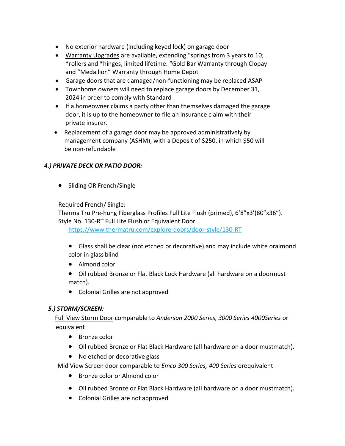- No exterior hardware (including keyed lock) on garage door
- Warranty Upgrades are available, extending "springs from 3 years to 10; \*rollers and \*hinges, limited lifetime: "Gold Bar Warranty through Clopay and "Medallion" Warranty through Home Depot
- Garage doors that are damaged/non-functioning may be replaced ASAP
- Townhome owners will need to replace garage doors by December 31, 2024 in order to comply with Standard
- If a homeowner claims a party other than themselves damaged the garage door, it is up to the homeowner to file an insurance claim with their private insurer.
- Replacement of a garage door may be approved administratively by management company (ASHM), with a Deposit of \$250, in which \$50 will be non-refundable

# *4.) PRIVATE DECK OR PATIO DOOR:*

• Sliding OR French/Single

Required French/ Single:

Therma Tru Pre-hung Fiberglass Profiles Full Lite Flush (primed), 6'8"x3'(80"x36"). Style No. 130-RT Full Lite Flush or Equivalent Door

<https://www.thermatru.com/explore-doors/door-style/130-RT>

- Glass shall be clear (not etched or decorative) and may include white oralmond color in glass blind
- Almond color
- Oil rubbed Bronze or Flat Black Lock Hardware (all hardware on a doormust match).
- Colonial Grilles are not approved

### *5.) STORM/SCREEN:*

Full View Storm Door comparable to *Anderson 2000 Series, 3000 Series 4000Series* or equivalent

- Bronze color
- Oil rubbed Bronze or Flat Black Hardware (all hardware on a door mustmatch).
- No etched or decorative glass

Mid View Screen door comparable to *Emco 300 Series, 400 Series* orequivalent

- Bronze color or Almond color
- Oil rubbed Bronze or Flat Black Hardware (all hardware on a door mustmatch).
- Colonial Grilles are not approved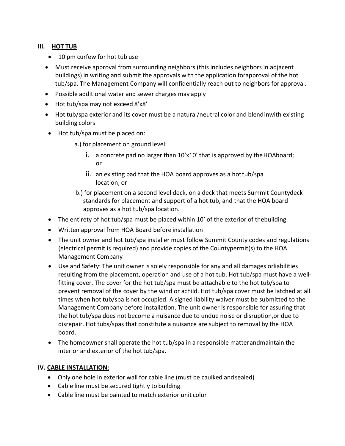#### **III. HOT TUB**

- 10 pm curfew for hot tub use
- Must receive approval from surrounding neighbors (this includes neighbors in adjacent buildings) in writing and submit the approvals with the application forapproval of the hot tub/spa. The Management Company will confidentially reach out to neighbors for approval.
- Possible additional water and sewer charges may apply
- Hot tub/spa may not exceed 8'x8'
- Hot tub/spa exterior and its cover must be a natural/neutral color and blendinwith existing building colors
- Hot tub/spa must be placed on:
	- a.) for placement on ground level:
		- i. a concrete pad no larger than  $10'x10'$  that is approved by the HOAboard; or
		- ii. an existing pad that the HOA board approves as a hottub/spa location; or
	- b.) for placement on a second level deck, on a deck that meets Summit Countydeck standards for placement and support of a hot tub, and that the HOA board approves as a hot tub/spa location.
- The entirety of hot tub/spa must be placed within 10' of the exterior of thebuilding
- Written approval from HOA Board before installation
- The unit owner and hot tub/spa installer must follow Summit County codes and regulations (electrical permit is required) and provide copies of the Countypermit(s) to the HOA Management Company
- Use and Safety: The unit owner is solely responsible for any and all damages orliabilities resulting from the placement, operation and use of a hot tub. Hot tub/spa must have a wellfitting cover. The cover for the hot tub/spa must be attachable to the hot tub/spa to prevent removal of the cover by the wind or achild. Hot tub/spa cover must be latched at all times when hot tub/spa isnot occupied. A signed liability waiver must be submitted to the Management Company before installation. The unit owner is responsible for assuring that the hot tub/spa does not become a nuisance due to undue noise or disruption,or due to disrepair. Hot tubs/spas that constitute a nuisance are subject to removal by the HOA board.
- The homeowner shall operate the hot tub/spa in a responsible matterandmaintain the interior and exterior of the hot tub/spa.

### **IV. CABLE INSTALLATION:**

- Only one hole in exterior wall for cable line (must be caulked andsealed)
- Cable line must be secured tightly to building
- Cable line must be painted to match exterior unit color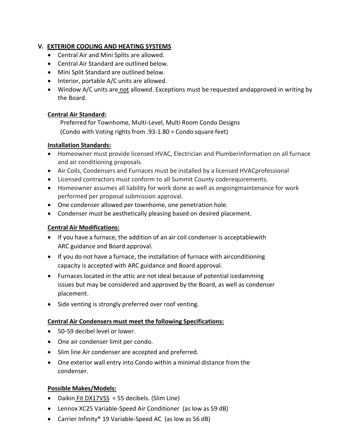# **V. EXTERIOR COOLING AND HEATING SYSTEMS**

- Central Air and Mini Splits are allowed.
- Central Air Standard are outlined below.
- Mini Split Standard are outlined below.
- Interior, portable A/C units are allowed.
- Window A/C units are not allowed. Exceptions must be requested andapproved in writing by the Board.

### **Central Air Standard:**

Preferred for Townhome, Multi-Level, Multi Room Condo Designs (Condo with Voting rights from .93-1.80 = Condo square feet)

### **Installation Standards:**

- Homeowner must provide licensed HVAC, Electrician and Plumberinformation on all furnace and air conditioning proposals.
- Air Coils, Condensers and Furnaces must be installed by a licensed HVACprofessional
- Licensed contractors must conform to all Summit County coderequirements.
- Homeowner assumes all liability for work done as well as ongoingmaintenance for work performed per proposal submission approval.
- One condenser allowed per townhome, one penetration hole.
- Condenser must be aesthetically pleasing based on desired placement.

# **Central Air Modifications:**

- If you have a furnace, the addition of an air coil condenser is acceptablewith ARC guidance and Board approval.
- If you do not have a furnace, the installation of furnace with airconditioning capacity is accepted with ARC guidance and Board approval.
- Furnaces located in the attic are not ideal because of potential icedamming issues but may be considered and approved by the Board, as well as condenser placement.
- Side venting is strongly preferred over roof venting.

### **Central Air Condensers must meet the following Specifications:**

- 50-59 decibel level or lower.
- One air condenser limit per condo.
- Slim line Air condenser are accepted and preferred.
- One exterior wall entry into Condo within a minimal distance from the condenser.

### **Possible Makes/Models:**

- Daikin Fit DX17VSS = 55 decibels. (Slim Line)
- Lennox XC25 Variable-Speed Air Conditioner (as low as 59 dB)
- Carrier Infinity® 19 Variable-Speed AC (as low as 56 dB)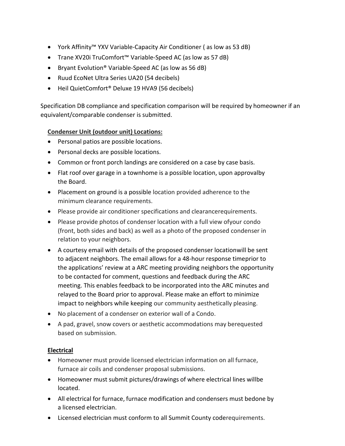- York Affinity™ YXV Variable-Capacity Air Conditioner ( as low as 53 dB)
- Trane XV20i TruComfort™ Variable-Speed AC (as low as 57 dB)
- Bryant Evolution® Variable-Speed AC (as low as 56 dB)
- Ruud EcoNet Ultra Series UA20 (54 decibels)
- Heil QuietComfort® Deluxe 19 HVA9 (56 decibels)

Specification DB compliance and specification comparison will be required by homeowner if an equivalent/comparable condenser is submitted.

### **Condenser Unit (outdoor unit) Locations:**

- Personal patios are possible locations.
- Personal decks are possible locations.
- Common or front porch landings are considered on a case by case basis.
- Flat roof over garage in a townhome is a possible location, upon approvalby the Board.
- Placement on ground is a possible location provided adherence to the minimum clearance requirements.
- Please provide air conditioner specifications and clearancerequirements.
- Please provide photos of condenser location with a full view ofyour condo (front, both sides and back) as well as a photo of the proposed condenser in relation to your neighbors.
- A courtesy email with details of the proposed condenser locationwill be sent to adjacent neighbors. The email allows for a 48-hour response timeprior to the applications' review at a ARC meeting providing neighbors the opportunity to be contacted for comment, questions and feedback during the ARC meeting. This enables feedback to be incorporated into the ARC minutes and relayed to the Board prior to approval. Please make an effort to minimize impact to neighbors while keeping our community aesthetically pleasing.
- No placement of a condenser on exterior wall of a Condo.
- A pad, gravel, snow covers or aesthetic accommodations may berequested based on submission.

### **Electrical**

- Homeowner must provide licensed electrician information on all furnace, furnace air coils and condenser proposal submissions.
- Homeowner must submit pictures/drawings of where electrical lines willbe located.
- All electrical for furnace, furnace modification and condensers must bedone by a licensed electrician.
- Licensed electrician must conform to all Summit County coderequirements.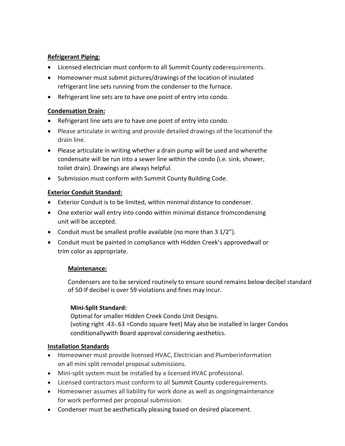### **Refrigerant Piping:**

- Licensed electrician must conform to all Summit County coderequirements.
- Homeowner must submit pictures/drawings of the location of insulated refrigerant line sets running from the condenser to the furnace.
- Refrigerant line sets are to have one point of entry into condo.

# **Condensation Drain:**

- Refrigerant line sets are to have one point of entry into condo.
- Please articulate in writing and provide detailed drawings of the locationof the drain line.
- Please articulate in writing whether a drain pump will be used and wherethe condensate will be run into a sewer line within the condo (i.e. sink, shower, toilet drain). Drawings are always helpful.
- Submission must conform with Summit County Building Code.

# **Exterior Conduit Standard:**

- Exterior Conduit is to be limited, within minimal distance to condenser.
- One exterior wall entry into condo within minimal distance fromcondensing unit will be accepted.
- Conduit must be smallest profile available (no more than 3 1/2").
- Conduit must be painted in compliance with Hidden Creek's approvedwall or trim color as appropriate.

### **Maintenance:**

Condensers are to be serviced routinely to ensure sound remains below decibel standard of 50-If decibel is over 59 violations and fines may incur.

# **Mini-Split Standard:**

Optimal for smaller Hidden Creek Condo Unit Designs. (voting right .43-.63 =Condo square feet) May also be installed in larger Condos conditionallywith Board approval considering aesthetics.

# **Installation Standards**

- Homeowner must provide licensed HVAC, Electrician and Plumberinformation on all mini split remodel proposal submissions.
- Mini-split system must be installed by a licensed HVAC professional.
- Licensed contractors must conform to all Summit County coderequirements.
- Homeowner assumes all liability for work done as well as ongoingmaintenance for work performed per proposal submission.
- Condenser must be aesthetically pleasing based on desired placement.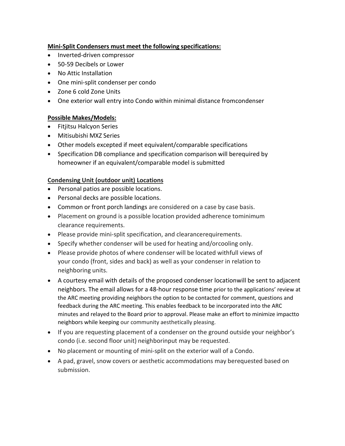### **Mini-Split Condensers must meet the following specifications:**

- Inverted-driven compressor
- 50-59 Decibels or Lower
- No Attic Installation
- One mini-split condenser per condo
- Zone 6 cold Zone Units
- One exterior wall entry into Condo within minimal distance fromcondenser

# **Possible Makes/Models:**

- Fitjitsu Halcyon Series
- Mitisubishi MXZ Series
- Other models excepted if meet equivalent/comparable specifications
- Specification DB compliance and specification comparison will berequired by homeowner if an equivalent/comparable model is submitted

### **Condensing Unit (outdoor unit) Locations**

- Personal patios are possible locations.
- Personal decks are possible locations.
- Common or front porch landings are considered on a case by case basis.
- Placement on ground is a possible location provided adherence tominimum clearance requirements.
- Please provide mini-split specification, and clearancerequirements.
- Specify whether condenser will be used for heating and/orcooling only.
- Please provide photos of where condenser will be located withfull views of your condo (front, sides and back) as well as your condenser in relation to neighboring units.
- A courtesy email with details of the proposed condenser locationwill be sent to adjacent neighbors. The email allows for a 48-hour response time prior to the applications' review at the ARC meeting providing neighbors the option to be contacted for comment, questions and feedback during the ARC meeting. This enables feedback to be incorporated into the ARC minutes and relayed to the Board prior to approval. Please make an effort to minimize impactto neighbors while keeping our community aesthetically pleasing.
- If you are requesting placement of a condenser on the ground outside your neighbor's condo (i.e. second floor unit) neighborinput may be requested.
- No placement or mounting of mini-split on the exterior wall of a Condo.
- A pad, gravel, snow covers or aesthetic accommodations may berequested based on submission.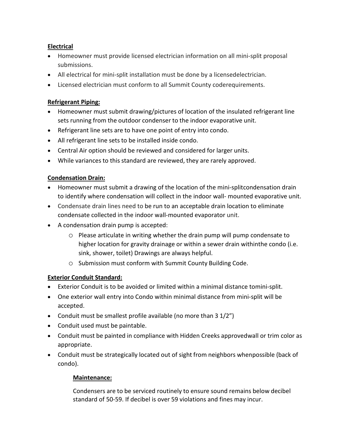# **Electrical**

- Homeowner must provide licensed electrician information on all mini-split proposal submissions.
- All electrical for mini-split installation must be done by a licensedelectrician.
- Licensed electrician must conform to all Summit County coderequirements.

### **Refrigerant Piping:**

- Homeowner must submit drawing/pictures of location of the insulated refrigerant line sets running from the outdoor condenser to the indoor evaporative unit.
- Refrigerant line sets are to have one point of entry into condo.
- All refrigerant line sets to be installed inside condo.
- Central Air option should be reviewed and considered for larger units.
- While variances to this standard are reviewed, they are rarely approved.

# **Condensation Drain:**

- Homeowner must submit a drawing of the location of the mini-splitcondensation drain to identify where condensation will collect in the indoor wall- mounted evaporative unit.
- Condensate drain lines need to be run to an acceptable drain location to eliminate condensate collected in the indoor wall-mounted evaporator unit.
- A condensation drain pump is accepted:
	- o Please articulate in writing whether the drain pump will pump condensate to higher location for gravity drainage or within a sewer drain withinthe condo (i.e. sink, shower, toilet) Drawings are always helpful.
	- o Submission must conform with Summit County Building Code.

### **Exterior Conduit Standard:**

- Exterior Conduit is to be avoided or limited within a minimal distance tomini-split.
- One exterior wall entry into Condo within minimal distance from mini-split will be accepted.
- Conduit must be smallest profile available (no more than  $3\frac{1}{2}$ )
- Conduit used must be paintable.
- Conduit must be painted in compliance with Hidden Creeks approvedwall or trim color as appropriate.
- Conduit must be strategically located out of sight from neighbors whenpossible (back of condo).

### **Maintenance:**

Condensers are to be serviced routinely to ensure sound remains below decibel standard of 50-59. If decibel is over 59 violations and fines may incur.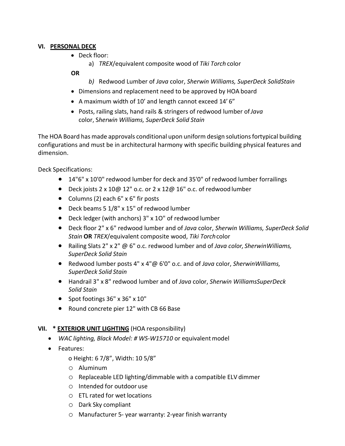#### **VI. PERSONAL DECK**

• Deck floor:

a) *TREX*/equivalent composite wood of *Tiki Torch* color

### **OR**

- *b)* Redwood Lumber of *Java* color, *Sherwin Williams, SuperDeck SolidStain*
- Dimensions and replacement need to be approved by HOA board
- A maximum width of 10' and length cannot exceed 14' 6"
- Posts, railing slats, hand rails & stringers of redwood lumber of*Java* color, S*herwin Williams, SuperDeck Solid Stain*

The HOA Board has made approvals conditional upon uniform design solutions fortypical building configurations and must be in architectural harmony with specific building physical features and dimension.

Deck Specifications:

- 14"6" x 10'0" redwood lumber for deck and 35'0" of redwood lumber forrailings
- Deck joists 2 x 10@ 12" o.c. or 2 x 12@ 16" o.c. of redwood lumber
- Columns (2) each 6" x 6" fir posts
- Deck beams 5 1/8" x 15" of redwood lumber
- Deck ledger (with anchors) 3" x 1O" of redwood lumber
- Deck floor 2" x 6" redwood lumber and of *Java* color, *Sherwin Williams, SuperDeck Solid Stain* **OR** *TREX*/equivalent composite wood, *Tiki Torch*color
- Railing Slats 2" x 2" @ 6" o.c. redwood lumber and of *Java color, SherwinWilliams, SuperDeck Solid Stain*
- Redwood lumber posts 4" x 4"@ 6'0" o.c. and of *Java* color, *SherwinWilliams, SuperDeck Solid Stain*
- Handrail 3" x 8" redwood lumber and of *Java* color, *Sherwin WilliamsSuperDeck Solid Stain*
- Spot footings 36" x 36" x 10"
- Round concrete pier 12" with CB 66 Base

### **VII. \* EXTERIOR UNIT LIGHTING** (HOA responsibility)

- *WAC lighting, Black Model: # WS-W15710* or equivalentmodel
- Features:

o Height: 6 7/8", Width: 10 5/8"

- o Aluminum
- o Replaceable LED lighting/dimmable with a compatible ELV dimmer
- o Intended for outdoor use
- o ETL rated for wet locations
- o Dark Sky compliant
- o Manufacturer 5- year warranty: 2-year finish warranty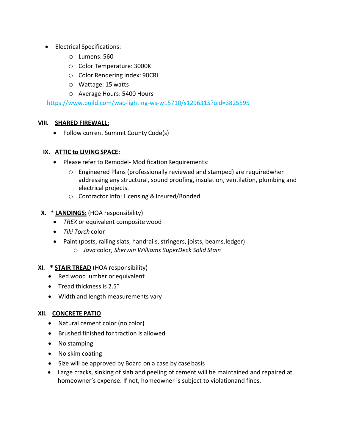- Electrical Specifications:
	- o Lumens: 560
	- o Color Temperature: 3000K
	- o Color Rendering Index: 90CRI
	- o Wattage: 15 watts
	- o Average Hours: 5400 Hours

<https://www.build.com/wac-lighting-ws-w15710/s1296315?uid=3825595>

#### **VIII. SHARED FIREWALL:**

• Follow current Summit County Code(s)

#### **IX. ATTIC to LIVING SPACE:**

- Please refer to Remodel-Modification Requirements:
	- o Engineered Plans (professionally reviewed and stamped) are requiredwhen addressing any structural, sound proofing, insulation, ventilation, plumbing and electrical projects.
	- o Contractor Info: Licensing &Insured/Bonded
- **X. \* LANDINGS:** (HOA responsibility)
	- *TREX* or equivalent composite wood
	- *Tiki Torch* color
	- Paint (posts, railing slats, handrails, stringers, joists, beams,ledger) o *Java* color, *Sherwin Williams SuperDeck Solid Stain*

#### **XI. \* STAIR TREAD** (HOA responsibility)

- Red wood lumber or equivalent
- Tread thickness is 2.5"
- Width and length measurements vary

#### **XII. CONCRETE PATIO**

- Natural cement color (no color)
- Brushed finished for traction is allowed
- No stamping
- No skim coating
- Size will be approved by Board on a case by casebasis
- Large cracks, sinking of slab and peeling of cement will be maintained and repaired at homeowner's expense. If not, homeowner is subject to violationand fines.